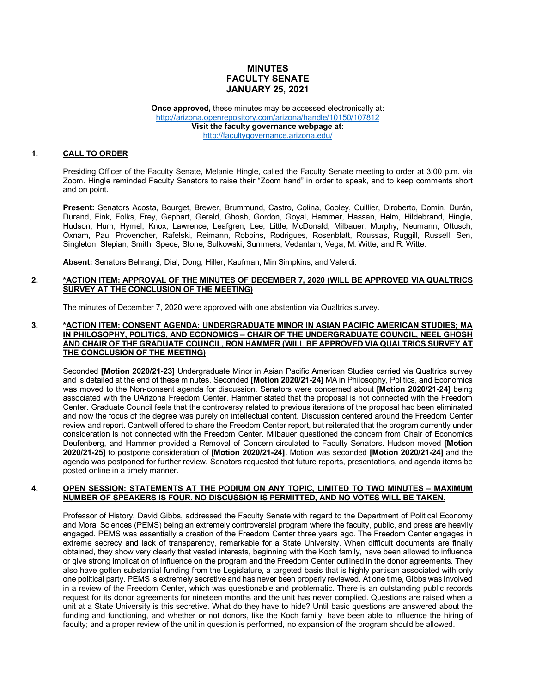# **MINUTES FACULTY SENATE JANUARY 25, 2021**

**Once approved, these minutes may be accessed electronically at:** <http://arizona.openrepository.com/arizona/handle/10150/107812> **Visit the faculty governance webpage at:** <http://facultygovernance.arizona.edu/>

# **1. CALL TO ORDER**

Presiding Officer of the Faculty Senate, Melanie Hingle, called the Faculty Senate meeting to order at 3:00 p.m. via Zoom. Hingle reminded Faculty Senators to raise their "Zoom hand" in order to speak, and to keep comments short and on point.

**Present:** Senators Acosta, Bourget, Brewer, Brummund, Castro, Colina, Cooley, Cuillier, Diroberto, Domin, Durán, Durand, Fink, Folks, Frey, Gephart, Gerald, Ghosh, Gordon, Goyal, Hammer, Hassan, Helm, Hildebrand, Hingle, Hudson, Hurh, Hymel, Knox, Lawrence, Leafgren, Lee, Little, McDonald, Milbauer, Murphy, Neumann, Ottusch, Oxnam, Pau, Provencher, Rafelski, Reimann, Robbins, Rodrigues, Rosenblatt, Roussas, Ruggill, Russell, Sen, Singleton, Slepian, Smith, Spece, Stone, Sulkowski, Summers, Vedantam, Vega, M. Witte, and R. Witte.

**Absent:** Senators Behrangi, Dial, Dong, Hiller, Kaufman, Min Simpkins, and Valerdi.

# **2. \*ACTION ITEM: APPROVAL OF THE MINUTES OF DECEMBER 7, 2020 (WILL BE APPROVED VIA QUALTRICS SURVEY AT THE CONCLUSION OF THE MEETING)**

The minutes of December 7, 2020 were approved with one abstention via Qualtrics survey.

## **3. \*ACTION ITEM: CONSENT AGENDA: UNDERGRADUATE MINOR IN ASIAN PACIFIC AMERICAN STUDIES; MA IN PHILOSOPHY, POLITICS, AND ECONOMICS – CHAIR OF THE UNDERGRADUATE COUNCIL, NEEL GHOSH AND CHAIR OF THE GRADUATE COUNCIL, RON HAMMER (WILL BE APPROVED VIA QUALTRICS SURVEY AT THE CONCLUSION OF THE MEETING)**

Seconded **[Motion 2020/21-23]** Undergraduate Minor in Asian Pacific American Studies carried via Qualtrics survey and is detailed at the end of these minutes. Seconded **[Motion 2020/21-24]** MA in Philosophy, Politics, and Economics was moved to the Non-consent agenda for discussion. Senators were concerned about **[Motion 2020/21-24]** being associated with the UArizona Freedom Center. Hammer stated that the proposal is not connected with the Freedom Center. Graduate Council feels that the controversy related to previous iterations of the proposal had been eliminated and now the focus of the degree was purely on intellectual content. Discussion centered around the Freedom Center review and report. Cantwell offered to share the Freedom Center report, but reiterated that the program currently under consideration is not connected with the Freedom Center. Milbauer questioned the concern from Chair of Economics Deufenberg, and Hammer provided a Removal of Concern circulated to Faculty Senators. Hudson moved **[Motion 2020/21-25]** to postpone consideration of **[Motion 2020/21-24].** Motion was seconded **[Motion 2020/21-24]** and the agenda was postponed for further review. Senators requested that future reports, presentations, and agenda items be posted online in a timely manner.

#### **4. OPEN SESSION: STATEMENTS AT THE PODIUM ON ANY TOPIC, LIMITED TO TWO MINUTES – MAXIMUM NUMBER OF SPEAKERS IS FOUR. NO DISCUSSION IS PERMITTED, AND NO VOTES WILL BE TAKEN.**

Professor of History, David Gibbs, addressed the Faculty Senate with regard to the Department of Political Economy and Moral Sciences (PEMS) being an extremely controversial program where the faculty, public, and press are heavily engaged. PEMS was essentially a creation of the Freedom Center three years ago. The Freedom Center engages in extreme secrecy and lack of transparency, remarkable for a State University. When difficult documents are finally obtained, they show very clearly that vested interests, beginning with the Koch family, have been allowed to influence or give strong implication of influence on the program and the Freedom Center outlined in the donor agreements. They also have gotten substantial funding from the Legislature, a targeted basis that is highly partisan associated with only one political party. PEMS is extremely secretive and has never been properly reviewed. At one time, Gibbs was involved in a review of the Freedom Center, which was questionable and problematic. There is an outstanding public records request for its donor agreements for nineteen months and the unit has never complied. Questions are raised when a unit at a State University is this secretive. What do they have to hide? Until basic questions are answered about the funding and functioning, and whether or not donors, like the Koch family, have been able to influence the hiring of faculty; and a proper review of the unit in question is performed, no expansion of the program should be allowed.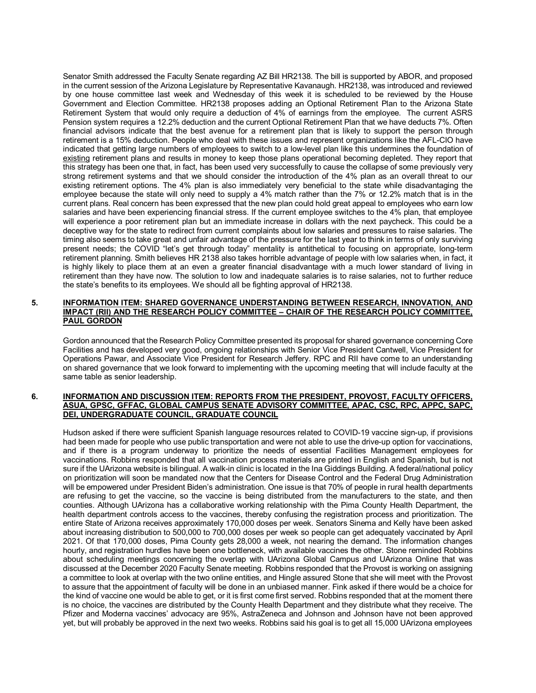Senator Smith addressed the Faculty Senate regarding AZ Bill HR2138. The bill is supported by ABOR, and proposed in the current session of the Arizona Legislature by Representative Kavanaugh. HR2138, was introduced and reviewed by one house committee last week and Wednesday of this week it is scheduled to be reviewed by the House Government and Election Committee. HR2138 proposes adding an Optional Retirement Plan to the Arizona State Retirement System that would only require a deduction of 4% of earnings from the employee. The current ASRS Pension system requires a 12.2% deduction and the current Optional Retirement Plan that we have deducts 7%. Often financial advisors indicate that the best avenue for a retirement plan that is likely to support the person through retirement is a 15% deduction. People who deal with these issues and represent organizations like the AFL-CIO have indicated that getting large numbers of employees to switch to a low-level plan like this undermines the foundation of existing retirement plans and results in money to keep those plans operational becoming depleted. They report that this strategy has been one that, in fact, has been used very successfully to cause the collapse of some previously very strong retirement systems and that we should consider the introduction of the 4% plan as an overall threat to our existing retirement options. The 4% plan is also immediately very beneficial to the state while disadvantaging the employee because the state will only need to supply a 4% match rather than the 7% or 12.2% match that is in the current plans. Real concern has been expressed that the new plan could hold great appeal to employees who earn low salaries and have been experiencing financial stress. If the current employee switches to the 4% plan, that employee will experience a poor retirement plan but an immediate increase in dollars with the next paycheck. This could be a deceptive way for the state to redirect from current complaints about low salaries and pressures to raise salaries. The timing also seems to take great and unfair advantage of the pressure for the last year to think in terms of only surviving present needs; the COVID "let's get through today" mentality is antithetical to focusing on appropriate, long-term retirement planning. Smith believes HR 2138 also takes horrible advantage of people with low salaries when, in fact, it is highly likely to place them at an even a greater financial disadvantage with a much lower standard of living in retirement than they have now. The solution to low and inadequate salaries is to raise salaries, not to further reduce the state's benefits to its employees. We should all be fighting approval of HR2138.

# **5. INFORMATION ITEM: SHARED GOVERNANCE UNDERSTANDING BETWEEN RESEARCH, INNOVATION, AND IMPACT (RII) AND THE RESEARCH POLICY COMMITTEE – CHAIR OF THE RESEARCH POLICY COMMITTEE, PAUL GORDON**

Gordon announced that the Research Policy Committee presented its proposal for shared governance concerning Core Facilities and has developed very good, ongoing relationships with Senior Vice President Cantwell, Vice President for Operations Pawar, and Associate Vice President for Research Jeffery. RPC and RII have come to an understanding on shared governance that we look forward to implementing with the upcoming meeting that will include faculty at the same table as senior leadership.

### **6. INFORMATION AND DISCUSSION ITEM: REPORTS FROM THE PRESIDENT, PROVOST, FACULTY OFFICERS, ASUA, GPSC, GFFAC, GLOBAL CAMPUS SENATE ADVISORY COMMITTEE, APAC, CSC, RPC, APPC, SAPC, DEI, UNDERGRADUATE COUNCIL, GRADUATE COUNCIL**

Hudson asked if there were sufficient Spanish language resources related to COVID-19 vaccine sign-up, if provisions had been made for people who use public transportation and were not able to use the drive-up option for vaccinations, and if there is a program underway to prioritize the needs of essential Facilities Management employees for vaccinations. Robbins responded that all vaccination process materials are printed in English and Spanish, but is not sure if the UArizona website is bilingual. A walk-in clinic is located in the Ina Giddings Building. A federal/national policy on prioritization will soon be mandated now that the Centers for Disease Control and the Federal Drug Administration will be empowered under President Biden's administration. One issue is that 70% of people in rural health departments are refusing to get the vaccine, so the vaccine is being distributed from the manufacturers to the state, and then counties. Although UArizona has a collaborative working relationship with the Pima County Health Department, the health department controls access to the vaccines, thereby confusing the registration process and prioritization. The entire State of Arizona receives approximately 170,000 doses per week. Senators Sinema and Kelly have been asked about increasing distribution to 500,000 to 700,000 doses per week so people can get adequately vaccinated by April 2021. Of that 170,000 doses, Pima County gets 28,000 a week, not nearing the demand. The information changes hourly, and registration hurdles have been one bottleneck, with available vaccines the other. Stone reminded Robbins about scheduling meetings concerning the overlap with UArizona Global Campus and UArizona Online that was discussed at the December 2020 Faculty Senate meeting. Robbins responded that the Provost is working on assigning a committee to look at overlap with the two online entities, and Hingle assured Stone that she will meet with the Provost to assure that the appointment of faculty will be done in an unbiased manner. Fink asked if there would be a choice for the kind of vaccine one would be able to get, or it is first come first served. Robbins responded that at the moment there is no choice, the vaccines are distributed by the County Health Department and they distribute what they receive. The Pfizer and Moderna vaccines' advocacy are 95%, AstraZeneca and Johnson and Johnson have not been approved yet, but will probably be approved in the next two weeks. Robbins said his goal is to get all 15,000 UArizona employees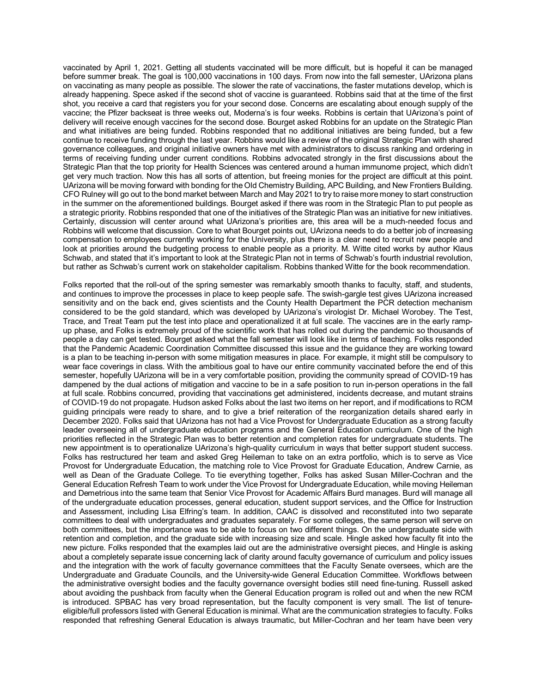vaccinated by April 1, 2021. Getting all students vaccinated will be more difficult, but is hopeful it can be managed before summer break. The goal is 100,000 vaccinations in 100 days. From now into the fall semester, UArizona plans on vaccinating as many people as possible. The slower the rate of vaccinations, the faster mutations develop, which is already happening. Spece asked if the second shot of vaccine is guaranteed. Robbins said that at the time of the first shot, you receive a card that registers you for your second dose. Concerns are escalating about enough supply of the vaccine; the Pfizer backseat is three weeks out, Moderna's is four weeks. Robbins is certain that UArizona's point of delivery will receive enough vaccines for the second dose. Bourget asked Robbins for an update on the Strategic Plan and what initiatives are being funded. Robbins responded that no additional initiatives are being funded, but a few continue to receive funding through the last year. Robbins would like a review of the original Strategic Plan with shared governance colleagues, and original initiative owners have met with administrators to discuss ranking and ordering in terms of receiving funding under current conditions. Robbins advocated strongly in the first discussions about the Strategic Plan that the top priority for Health Sciences was centered around a human immunome project, which didn't get very much traction. Now this has all sorts of attention, but freeing monies for the project are difficult at this point. UArizona will be moving forward with bonding for the Old Chemistry Building, APC Building, and New Frontiers Building. CFO Rulney will go out to the bond market between March and May 2021 to try to raise more money to start construction in the summer on the aforementioned buildings. Bourget asked if there was room in the Strategic Plan to put people as a strategic priority. Robbins responded that one of the initiatives of the Strategic Plan was an initiative for new initiatives. Certainly, discussion will center around what UArizona's priorities are, this area will be a much-needed focus and Robbins will welcome that discussion. Core to what Bourget points out, UArizona needs to do a better job of increasing compensation to employees currently working for the University, plus there is a clear need to recruit new people and look at priorities around the budgeting process to enable people as a priority. M. Witte cited works by author Klaus Schwab, and stated that it's important to look at the Strategic Plan not in terms of Schwab's fourth industrial revolution, but rather as Schwab's current work on stakeholder capitalism. Robbins thanked Witte for the book recommendation.

Folks reported that the roll-out of the spring semester was remarkably smooth thanks to faculty, staff, and students, and continues to improve the processes in place to keep people safe. The swish-gargle test gives UArizona increased sensitivity and on the back end, gives scientists and the County Health Department the PCR detection mechanism considered to be the gold standard, which was developed by UArizona's virologist Dr. Michael Worobey. The Test, Trace, and Treat Team put the test into place and operationalized it at full scale. The vaccines are in the early rampup phase, and Folks is extremely proud of the scientific work that has rolled out during the pandemic so thousands of people a day can get tested. Bourget asked what the fall semester will look like in terms of teaching. Folks responded that the Pandemic Academic Coordination Committee discussed this issue and the guidance they are working toward is a plan to be teaching in-person with some mitigation measures in place. For example, it might still be compulsory to wear face coverings in class. With the ambitious goal to have our entire community vaccinated before the end of this semester, hopefully UArizona will be in a very comfortable position, providing the community spread of COVID-19 has dampened by the dual actions of mitigation and vaccine to be in a safe position to run in-person operations in the fall at full scale. Robbins concurred, providing that vaccinations get administered, incidents decrease, and mutant strains of COVID-19 do not propagate. Hudson asked Folks about the last two items on her report, and if modifications to RCM guiding principals were ready to share, and to give a brief reiteration of the reorganization details shared early in December 2020. Folks said that UArizona has not had a Vice Provost for Undergraduate Education as a strong faculty leader overseeing all of undergraduate education programs and the General Education curriculum. One of the high priorities reflected in the Strategic Plan was to better retention and completion rates for undergraduate students. The new appointment is to operationalize UArizona's high-quality curriculum in ways that better support student success. Folks has restructured her team and asked Greg Heileman to take on an extra portfolio, which is to serve as Vice Provost for Undergraduate Education, the matching role to Vice Provost for Graduate Education, Andrew Carnie, as well as Dean of the Graduate College. To tie everything together, Folks has asked Susan Miller-Cochran and the General Education Refresh Team to work under the Vice Provost for Undergraduate Education, while moving Heileman and Demetrious into the same team that Senior Vice Provost for Academic Affairs Burd manages. Burd will manage all of the undergraduate education processes, general education, student support services, and the Office for Instruction and Assessment, including Lisa Elfring's team. In addition, CAAC is dissolved and reconstituted into two separate committees to deal with undergraduates and graduates separately. For some colleges, the same person will serve on both committees, but the importance was to be able to focus on two different things. On the undergraduate side with retention and completion, and the graduate side with increasing size and scale. Hingle asked how faculty fit into the new picture. Folks responded that the examples laid out are the administrative oversight pieces, and Hingle is asking about a completely separate issue concerning lack of clarity around faculty governance of curriculum and policy issues and the integration with the work of faculty governance committees that the Faculty Senate oversees, which are the Undergraduate and Graduate Councils, and the University-wide General Education Committee. Workflows between the administrative oversight bodies and the faculty governance oversight bodies still need fine-tuning. Russell asked about avoiding the pushback from faculty when the General Education program is rolled out and when the new RCM is introduced. SPBAC has very broad representation, but the faculty component is very small. The list of tenureeligible/full professors listed with General Education is minimal. What are the communication strategies to faculty. Folks responded that refreshing General Education is always traumatic, but Miller-Cochran and her team have been very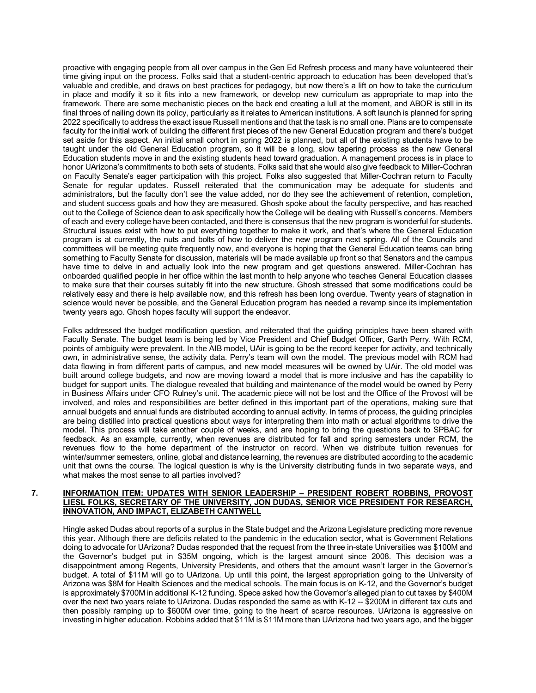proactive with engaging people from all over campus in the Gen Ed Refresh process and many have volunteered their time giving input on the process. Folks said that a student-centric approach to education has been developed that's valuable and credible, and draws on best practices for pedagogy, but now there's a lift on how to take the curriculum in place and modify it so it fits into a new framework, or develop new curriculum as appropriate to map into the framework. There are some mechanistic pieces on the back end creating a lull at the moment, and ABOR is still in its final throes of nailing down its policy, particularly as it relates to American institutions. A soft launch is planned for spring 2022 specifically to address the exact issue Russell mentions and that the task is no small one. Plans are to compensate faculty for the initial work of building the different first pieces of the new General Education program and there's budget set aside for this aspect. An initial small cohort in spring 2022 is planned, but all of the existing students have to be taught under the old General Education program, so it will be a long, slow tapering process as the new General Education students move in and the existing students head toward graduation. A management process is in place to honor UArizona's commitments to both sets of students. Folks said that she would also give feedback to Miller-Cochran on Faculty Senate's eager participation with this project. Folks also suggested that Miller-Cochran return to Faculty Senate for regular updates. Russell reiterated that the communication may be adequate for students and administrators, but the faculty don't see the value added, nor do they see the achievement of retention, completion, and student success goals and how they are measured. Ghosh spoke about the faculty perspective, and has reached out to the College of Science dean to ask specifically how the College will be dealing with Russell's concerns. Members of each and every college have been contacted, and there is consensus that the new program is wonderful for students. Structural issues exist with how to put everything together to make it work, and that's where the General Education program is at currently, the nuts and bolts of how to deliver the new program next spring. All of the Councils and committees will be meeting quite frequently now, and everyone is hoping that the General Education teams can bring something to Faculty Senate for discussion, materials will be made available up front so that Senators and the campus have time to delve in and actually look into the new program and get questions answered. Miller-Cochran has onboarded qualified people in her office within the last month to help anyone who teaches General Education classes to make sure that their courses suitably fit into the new structure. Ghosh stressed that some modifications could be relatively easy and there is help available now, and this refresh has been long overdue. Twenty years of stagnation in science would never be possible, and the General Education program has needed a revamp since its implementation twenty years ago. Ghosh hopes faculty will support the endeavor.

Folks addressed the budget modification question, and reiterated that the guiding principles have been shared with Faculty Senate. The budget team is being led by Vice President and Chief Budget Officer, Garth Perry. With RCM, points of ambiguity were prevalent. In the AIB model, UAir is going to be the record keeper for activity, and technically own, in administrative sense, the activity data. Perry's team will own the model. The previous model with RCM had data flowing in from different parts of campus, and new model measures will be owned by UAir. The old model was built around college budgets, and now are moving toward a model that is more inclusive and has the capability to budget for support units. The dialogue revealed that building and maintenance of the model would be owned by Perry in Business Affairs under CFO Rulney's unit. The academic piece will not be lost and the Office of the Provost will be involved, and roles and responsibilities are better defined in this important part of the operations, making sure that annual budgets and annual funds are distributed according to annual activity. In terms of process, the guiding principles are being distilled into practical questions about ways for interpreting them into math or actual algorithms to drive the model. This process will take another couple of weeks, and are hoping to bring the questions back to SPBAC for feedback. As an example, currently, when revenues are distributed for fall and spring semesters under RCM, the revenues flow to the home department of the instructor on record. When we distribute tuition revenues for winter/summer semesters, online, global and distance learning, the revenues are distributed according to the academic unit that owns the course. The logical question is why is the University distributing funds in two separate ways, and what makes the most sense to all parties involved?

#### **7. INFORMATION ITEM: UPDATES WITH SENIOR LEADERSHIP – PRESIDENT ROBERT ROBBINS, PROVOST LIESL FOLKS, SECRETARY OF THE UNIVERSITY, JON DUDAS, SENIOR VICE PRESIDENT FOR RESEARCH, INNOVATION, AND IMPACT, ELIZABETH CANTWELL**

Hingle asked Dudas about reports of a surplus in the State budget and the Arizona Legislature predicting more revenue this year. Although there are deficits related to the pandemic in the education sector, what is Government Relations doing to advocate for UArizona? Dudas responded that the request from the three in-state Universities was \$100M and the Governor's budget put in \$35M ongoing, which is the largest amount since 2008. This decision was a disappointment among Regents, University Presidents, and others that the amount wasn't larger in the Governor's budget. A total of \$11M will go to UArizona. Up until this point, the largest appropriation going to the University of Arizona was \$8M for Health Sciences and the medical schools. The main focus is on K-12, and the Governor's budget is approximately \$700M in additional K-12 funding. Spece asked how the Governor's alleged plan to cut taxes by \$400M over the next two years relate to UArizona. Dudas responded the same as with K-12 -- \$200M in different tax cuts and then possibly ramping up to \$600M over time, going to the heart of scarce resources. UArizona is aggressive on investing in higher education. Robbins added that \$11M is \$11M more than UArizona had two years ago, and the bigger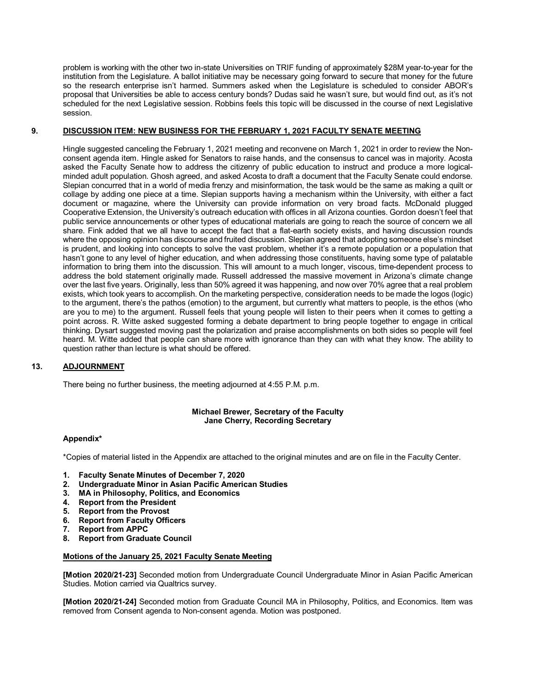problem is working with the other two in-state Universities on TRIF funding of approximately \$28M year-to-year for the institution from the Legislature. A ballot initiative may be necessary going forward to secure that money for the future so the research enterprise isn't harmed. Summers asked when the Legislature is scheduled to consider ABOR's proposal that Universities be able to access century bonds? Dudas said he wasn't sure, but would find out, as it's not scheduled for the next Legislative session. Robbins feels this topic will be discussed in the course of next Legislative session.

# **9. DISCUSSION ITEM: NEW BUSINESS FOR THE FEBRUARY 1, 2021 FACULTY SENATE MEETING**

Hingle suggested canceling the February 1, 2021 meeting and reconvene on March 1, 2021 in order to review the Nonconsent agenda item. Hingle asked for Senators to raise hands, and the consensus to cancel was in majority. Acosta asked the Faculty Senate how to address the citizenry of public education to instruct and produce a more logicalminded adult population. Ghosh agreed, and asked Acosta to draft a document that the Faculty Senate could endorse. Slepian concurred that in a world of media frenzy and misinformation, the task would be the same as making a quilt or collage by adding one piece at a time. Slepian supports having a mechanism within the University, with either a fact document or magazine, where the University can provide information on very broad facts. McDonald plugged Cooperative Extension, the University's outreach education with offices in all Arizona counties. Gordon doesn't feel that public service announcements or other types of educational materials are going to reach the source of concern we all share. Fink added that we all have to accept the fact that a flat-earth society exists, and having discussion rounds where the opposing opinion has discourse and fruited discussion. Slepian agreed that adopting someone else's mindset is prudent, and looking into concepts to solve the vast problem, whether it's a remote population or a population that hasn't gone to any level of higher education, and when addressing those constituents, having some type of palatable information to bring them into the discussion. This will amount to a much longer, viscous, time-dependent process to address the bold statement originally made. Russell addressed the massive movement in Arizona's climate change over the last five years. Originally, less than 50% agreed it was happening, and now over 70% agree that a real problem exists, which took years to accomplish. On the marketing perspective, consideration needs to be made the logos (logic) to the argument, there's the pathos (emotion) to the argument, but currently what matters to people, is the ethos (who are you to me) to the argument. Russell feels that young people will listen to their peers when it comes to getting a point across. R. Witte asked suggested forming a debate department to bring people together to engage in critical thinking. Dysart suggested moving past the polarization and praise accomplishments on both sides so people will feel heard. M. Witte added that people can share more with ignorance than they can with what they know. The ability to question rather than lecture is what should be offered.

# **13. ADJOURNMENT**

There being no further business, the meeting adjourned at 4:55 P.M. p.m.

# **Michael Brewer, Secretary of the Faculty Jane Cherry, Recording Secretary**

# **Appendix\***

\*Copies of material listed in the Appendix are attached to the original minutes and are on file in the Faculty Center.

- **1. Faculty Senate Minutes of December 7, 2020**
- **2. Undergraduate Minor in Asian Pacific American Studies**
- **3. MA in Philosophy, Politics, and Economics**
- **4. Report from the President**
- **5. Report from the Provost**
- **6. Report from Faculty Officers**
- **7. Report from APPC**
- **8. Report from Graduate Council**

# **Motions of the January 25, 2021 Faculty Senate Meeting**

**[Motion 2020/21-23]** Seconded motion from Undergraduate Council Undergraduate Minor in Asian Pacific American Studies. Motion carried via Qualtrics survey.

**[Motion 2020/21-24]** Seconded motion from Graduate Council MA in Philosophy, Politics, and Economics. Item was removed from Consent agenda to Non-consent agenda. Motion was postponed.